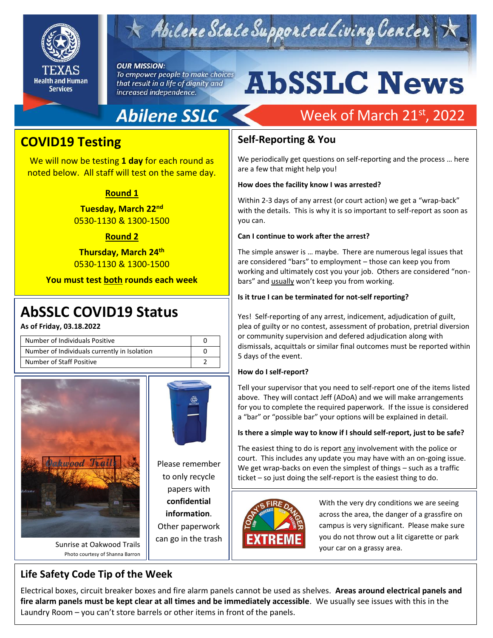

# Abilene State Supported Living Center

#### **OUR MISSION:**

To empower people to make choices that result in a life of dignity and increased independence.

# **AbSSLC News**

# **Abilene SSLC**

# Week of March 21st, 2022

### **COVID19 Testing**

We will now be testing **1 day** for each round as noted below. All staff will test on the same day.

#### **Round 1**

**Tuesday, March 22nd** 0530-1130 & 1300-1500

#### **Round 2**

**Thursday, March 24th** 0530-1130 & 1300-1500

**You must test both rounds each week**

# 2019 **AbSSLC COVID19 Status**

**As of Friday, 03.18.2022**

| Number of Individuals Positive               |  |
|----------------------------------------------|--|
| Number of Individuals currently in Isolation |  |
| Number of Staff Positive                     |  |





Please remember to only recycle papers with **confidential information**. Other paperwork

Sunrise at Oakwood Trails Photo courtesy of Shanna Barron can go in the trash

#### **Self-Reporting & You**

We periodically get questions on self-reporting and the process … here are a few that might help you!

#### **How does the facility know I was arrested?**

Within 2-3 days of any arrest (or court action) we get a "wrap-back" with the details. This is why it is so important to self-report as soon as you can.

#### **Can I continue to work after the arrest?**

The simple answer is … maybe. There are numerous legal issues that are considered "bars" to employment – those can keep you from working and ultimately cost you your job. Others are considered "nonbars" and usually won't keep you from working.

#### **Is it true I can be terminated for not-self reporting?**

Yes! Self-reporting of any arrest, indicement, adjudication of guilt, plea of guilty or no contest, assessment of probation, pretrial diversion or community supervision and defered adjudication along with dismissals, acquittals or similar final outcomes must be reported within 5 days of the event.

#### **How do I self-report?**

Tell your supervisor that you need to self-report one of the items listed above. They will contact Jeff (ADoA) and we will make arrangements for you to complete the required paperwork. If the issue is considered a "bar" or "possible bar" your options will be explained in detail.

#### **Is there a simple way to know if I should self-report, just to be safe?**

The easiest thing to do is report any involvement with the police or court. This includes any update you may have with an on-going issue. We get wrap-backs on even the simplest of things – such as a traffic ticket – so just doing the self-report is the easiest thing to do.



With the very dry conditions we are seeing across the area, the danger of a grassfire on campus is very significant. Please make sure you do not throw out a lit cigarette or park your car on a grassy area.

### **Life Safety Code Tip of the Week**

Electrical boxes, circuit breaker boxes and fire alarm panels cannot be used as shelves. **Areas around electrical panels and fire alarm panels must be kept clear at all times and be immediately accessible**. We usually see issues with this in the Laundry Room – you can't store barrels or other items in front of the panels.